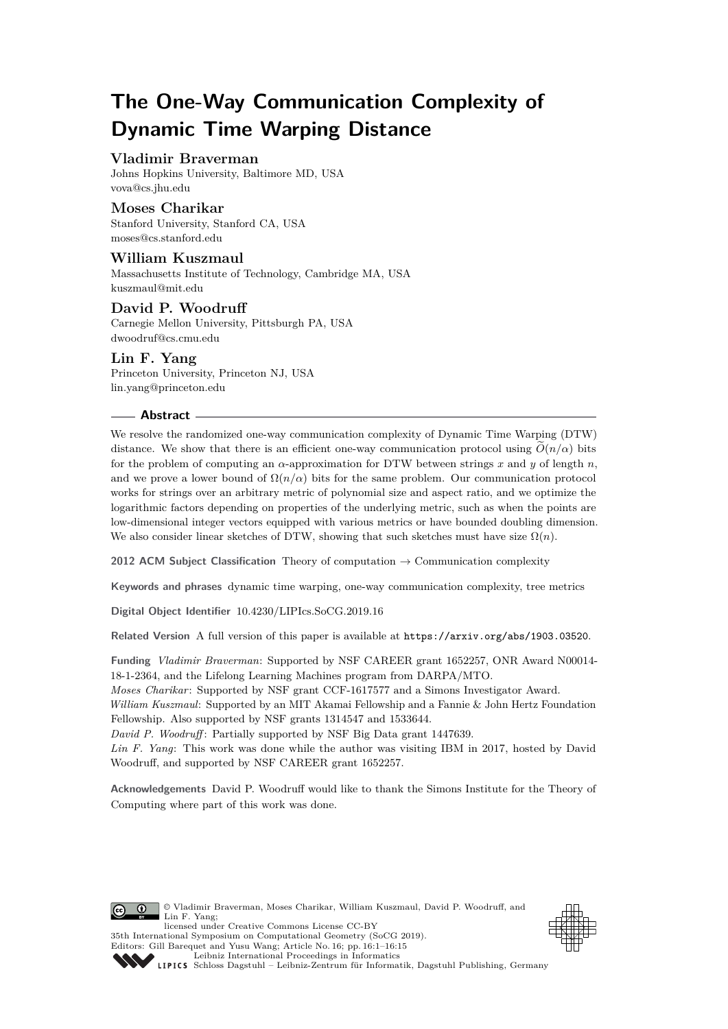# **The One-Way Communication Complexity of Dynamic Time Warping Distance**

## **Vladimir Braverman**

Johns Hopkins University, Baltimore MD, USA [vova@cs.jhu.edu](mailto:vova@cs.jhu.edu)

## **Moses Charikar**

Stanford University, Stanford CA, USA [moses@cs.stanford.edu](mailto:moses@cs.stanford.edu)

## **William Kuszmaul**

Massachusetts Institute of Technology, Cambridge MA, USA [kuszmaul@mit.edu](mailto:kuszmaul@mit.edu)

## **David P. Woodruff**

Carnegie Mellon University, Pittsburgh PA, USA [dwoodruf@cs.cmu.edu](mailto:dwoodruf@cs.cmu.edu)

**Lin F. Yang** Princeton University, Princeton NJ, USA [lin.yang@princeton.edu](mailto:lin.yang@princeton.edu)

## **Abstract**

We resolve the randomized one-way communication complexity of Dynamic Time Warping (DTW) distance. We show that there is an efficient one-way communication protocol using  $\tilde{O}(n/\alpha)$  bits for the problem of computing an  $\alpha$ -approximation for DTW between strings x and y of length  $n$ , and we prove a lower bound of  $\Omega(n/\alpha)$  bits for the same problem. Our communication protocol works for strings over an arbitrary metric of polynomial size and aspect ratio, and we optimize the logarithmic factors depending on properties of the underlying metric, such as when the points are low-dimensional integer vectors equipped with various metrics or have bounded doubling dimension. We also consider linear sketches of DTW, showing that such sketches must have size  $\Omega(n)$ .

**2012 ACM Subject Classification** Theory of computation → Communication complexity

**Keywords and phrases** dynamic time warping, one-way communication complexity, tree metrics

**Digital Object Identifier** [10.4230/LIPIcs.SoCG.2019.16](https://doi.org/10.4230/LIPIcs.SoCG.2019.16)

**Related Version** A full version of this paper is available at <https://arxiv.org/abs/1903.03520>.

**Funding** *Vladimir Braverman*: Supported by NSF CAREER grant 1652257, ONR Award N00014- 18-1-2364, and the Lifelong Learning Machines program from DARPA/MTO.

*Moses Charikar*: Supported by NSF grant CCF-1617577 and a Simons Investigator Award.

*William Kuszmaul*: Supported by an MIT Akamai Fellowship and a Fannie & John Hertz Foundation Fellowship. Also supported by NSF grants 1314547 and 1533644.

*David P. Woodruff* : Partially supported by NSF Big Data grant 1447639.

35th International Symposium on Computational Geometry (SoCG 2019).

*Lin F. Yang*: This work was done while the author was visiting IBM in 2017, hosted by David Woodruff, and supported by NSF CAREER grant 1652257.

**Acknowledgements** David P. Woodruff would like to thank the Simons Institute for the Theory of Computing where part of this work was done.



© Vladimir Braverman, Moses Charikar, William Kuszmaul, David P. Woodruff, and Lin F. Yang; licensed under Creative Commons License CC-BY





[Leibniz International Proceedings in Informatics](https://www.dagstuhl.de/lipics/) [Schloss Dagstuhl – Leibniz-Zentrum für Informatik, Dagstuhl Publishing, Germany](https://www.dagstuhl.de)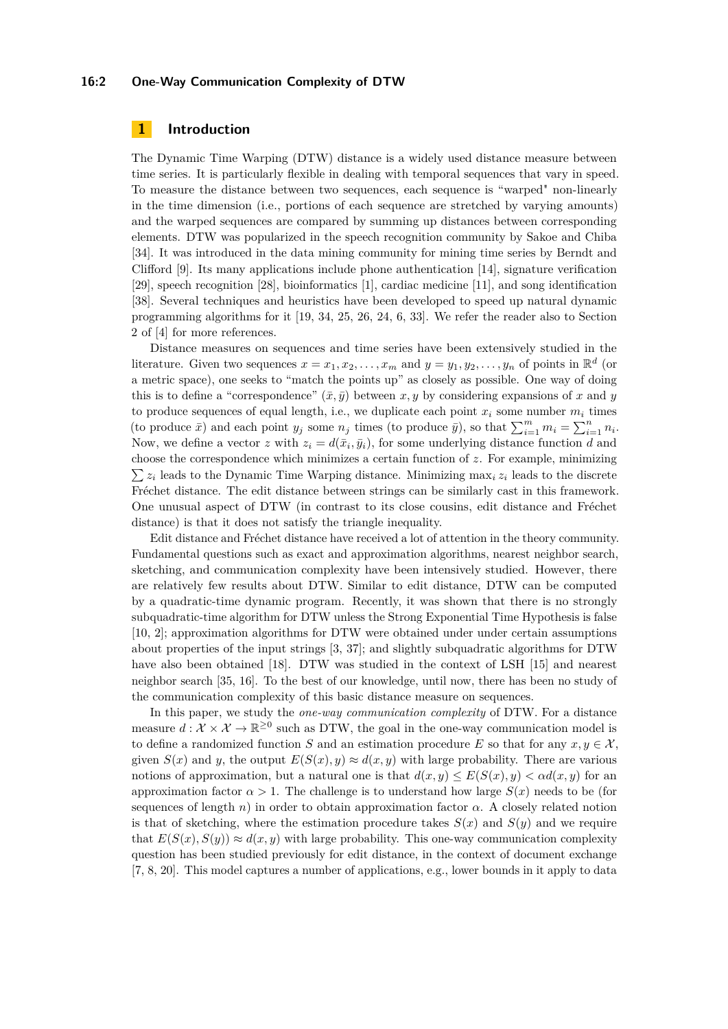#### **16:2 One-Way Communication Complexity of DTW**

## **1 Introduction**

The Dynamic Time Warping (DTW) distance is a widely used distance measure between time series. It is particularly flexible in dealing with temporal sequences that vary in speed. To measure the distance between two sequences, each sequence is "warped" non-linearly in the time dimension (i.e., portions of each sequence are stretched by varying amounts) and the warped sequences are compared by summing up distances between corresponding elements. DTW was popularized in the speech recognition community by Sakoe and Chiba [\[34\]](#page-13-0). It was introduced in the data mining community for mining time series by Berndt and Clifford [\[9\]](#page-12-0). Its many applications include phone authentication [\[14\]](#page-12-1), signature verification [\[29\]](#page-13-1), speech recognition [\[28\]](#page-13-2), bioinformatics [\[1\]](#page-12-2), cardiac medicine [\[11\]](#page-12-3), and song identification [\[38\]](#page-14-1). Several techniques and heuristics have been developed to speed up natural dynamic programming algorithms for it [\[19,](#page-13-3) [34,](#page-13-0) [25,](#page-13-4) [26,](#page-13-5) [24,](#page-13-6) [6,](#page-12-4) [33\]](#page-13-7). We refer the reader also to Section 2 of [\[4\]](#page-12-5) for more references.

Distance measures on sequences and time series have been extensively studied in the literature. Given two sequences  $x = x_1, x_2, \ldots, x_m$  and  $y = y_1, y_2, \ldots, y_n$  of points in  $\mathbb{R}^d$  (or a metric space), one seeks to "match the points up" as closely as possible. One way of doing this is to define a "correspondence"  $(\bar{x}, \bar{y})$  between  $x, y$  by considering expansions of x and y to produce sequences of equal length, i.e., we duplicate each point  $x_i$  some number  $m_i$  times (to produce  $\bar{x}$ ) and each point  $y_j$  some  $n_j$  times (to produce  $\bar{y}$ ), so that  $\sum_{i=1}^{m} m_i = \sum_{i=1}^{n} n_i$ . Now, we define a vector *z* with  $z_i = d(\bar{x}_i, \bar{y}_i)$ , for some underlying distance function *d* and choose the correspondence which minimizes a certain function of *z*. For example, minimizing  $\sum z_i$  leads to the Dynamic Time Warping distance. Minimizing max<sub>i</sub>  $z_i$  leads to the discrete Fréchet distance. The edit distance between strings can be similarly cast in this framework. One unusual aspect of DTW (in contrast to its close cousins, edit distance and Fréchet distance) is that it does not satisfy the triangle inequality.

Edit distance and Fréchet distance have received a lot of attention in the theory community. Fundamental questions such as exact and approximation algorithms, nearest neighbor search, sketching, and communication complexity have been intensively studied. However, there are relatively few results about DTW. Similar to edit distance, DTW can be computed by a quadratic-time dynamic program. Recently, it was shown that there is no strongly subquadratic-time algorithm for DTW unless the Strong Exponential Time Hypothesis is false [\[10,](#page-12-6) [2\]](#page-12-7); approximation algorithms for DTW were obtained under under certain assumptions about properties of the input strings [\[3,](#page-12-8) [37\]](#page-14-2); and slightly subquadratic algorithms for DTW have also been obtained [\[18\]](#page-13-8). DTW was studied in the context of LSH [\[15\]](#page-12-9) and nearest neighbor search [\[35,](#page-14-3) [16\]](#page-13-9). To the best of our knowledge, until now, there has been no study of the communication complexity of this basic distance measure on sequences.

In this paper, we study the *one-way communication complexity* of DTW. For a distance measure  $d: \mathcal{X} \times \mathcal{X} \to \mathbb{R}^{\geq 0}$  such as DTW, the goal in the one-way communication model is to define a randomized function *S* and an estimation procedure *E* so that for any  $x, y \in \mathcal{X}$ . given  $S(x)$  and *y*, the output  $E(S(x), y) \approx d(x, y)$  with large probability. There are various notions of approximation, but a natural one is that  $d(x, y) \leq E(S(x), y) < \alpha d(x, y)$  for an approximation factor  $\alpha > 1$ . The challenge is to understand how large  $S(x)$  needs to be (for sequences of length  $n$ ) in order to obtain approximation factor  $\alpha$ . A closely related notion is that of sketching, where the estimation procedure takes  $S(x)$  and  $S(y)$  and we require that  $E(S(x), S(y)) \approx d(x, y)$  with large probability. This one-way communication complexity question has been studied previously for edit distance, in the context of document exchange [\[7,](#page-12-10) [8,](#page-12-11) [20\]](#page-13-10). This model captures a number of applications, e.g., lower bounds in it apply to data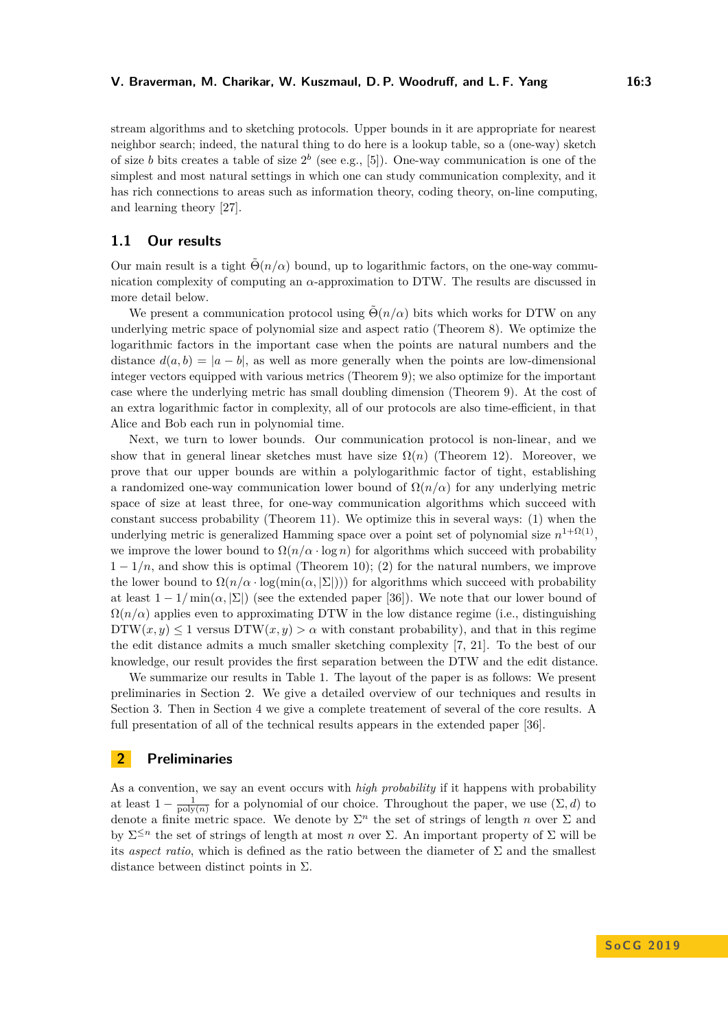stream algorithms and to sketching protocols. Upper bounds in it are appropriate for nearest neighbor search; indeed, the natural thing to do here is a lookup table, so a (one-way) sketch of size *b* bits creates a table of size  $2^b$  (see e.g., [\[5\]](#page-12-12)). One-way communication is one of the simplest and most natural settings in which one can study communication complexity, and it has rich connections to areas such as information theory, coding theory, on-line computing, and learning theory [\[27\]](#page-13-11).

## **1.1 Our results**

Our main result is a tight  $\tilde{\Theta}(n/\alpha)$  bound, up to logarithmic factors, on the one-way communication complexity of computing an *α*-approximation to DTW. The results are discussed in more detail below.

We present a communication protocol using  $\tilde{\Theta}(n/\alpha)$  bits which works for DTW on any underlying metric space of polynomial size and aspect ratio (Theorem [8\)](#page-7-0). We optimize the logarithmic factors in the important case when the points are natural numbers and the distance  $d(a, b) = |a - b|$ , as well as more generally when the points are low-dimensional integer vectors equipped with various metrics (Theorem [9\)](#page-8-0); we also optimize for the important case where the underlying metric has small doubling dimension (Theorem [9\)](#page-8-0). At the cost of an extra logarithmic factor in complexity, all of our protocols are also time-efficient, in that Alice and Bob each run in polynomial time.

Next, we turn to lower bounds. Our communication protocol is non-linear, and we show that in general linear sketches must have size  $\Omega(n)$  (Theorem [12\)](#page-10-0). Moreover, we prove that our upper bounds are within a polylogarithmic factor of tight, establishing a randomized one-way communication lower bound of  $\Omega(n/\alpha)$  for any underlying metric space of size at least three, for one-way communication algorithms which succeed with constant success probability (Theorem [11\)](#page-9-0). We optimize this in several ways: (1) when the underlying metric is generalized Hamming space over a point set of polynomial size  $n^{1+\Omega(1)}$ , we improve the lower bound to  $\Omega(n/\alpha \cdot \log n)$  for algorithms which succeed with probability  $1 - 1/n$ , and show this is optimal (Theorem [10\)](#page-9-1); (2) for the natural numbers, we improve the lower bound to  $\Omega(n/\alpha \cdot \log(\min(\alpha, |\Sigma|)))$  for algorithms which succeed with probability at least  $1 - 1/\min(\alpha, |\Sigma|)$  (see the extended paper [\[36\]](#page-14-4)). We note that our lower bound of  $\Omega(n/\alpha)$  applies even to approximating DTW in the low distance regime (i.e., distinguishing  $DTW(x, y) \leq 1$  versus  $DTW(x, y) > \alpha$  with constant probability), and that in this regime the edit distance admits a much smaller sketching complexity [\[7,](#page-12-10) [21\]](#page-13-12). To the best of our knowledge, our result provides the first separation between the DTW and the edit distance.

We summarize our results in Table [1.](#page-3-0) The layout of the paper is as follows: We present preliminaries in Section [2.](#page-2-0) We give a detailed overview of our techniques and results in Section [3.](#page-4-0) Then in Section [4](#page-10-1) we give a complete treatement of several of the core results. A full presentation of all of the technical results appears in the extended paper [\[36\]](#page-14-4).

## <span id="page-2-0"></span>**2 Preliminaries**

As a convention, we say an event occurs with *high probability* if it happens with probability at least  $1 - \frac{1}{\text{poly}(n)}$  for a polynomial of our choice. Throughout the paper, we use  $(\Sigma, d)$  to denote a finite metric space. We denote by  $\Sigma^n$  the set of strings of length *n* over  $\Sigma$  and by  $\Sigma^{\leq n}$  the set of strings of length at most *n* over  $\Sigma$ . An important property of  $\Sigma$  will be its *aspect ratio*, which is defined as the ratio between the diameter of  $\Sigma$  and the smallest distance between distinct points in  $\Sigma$ .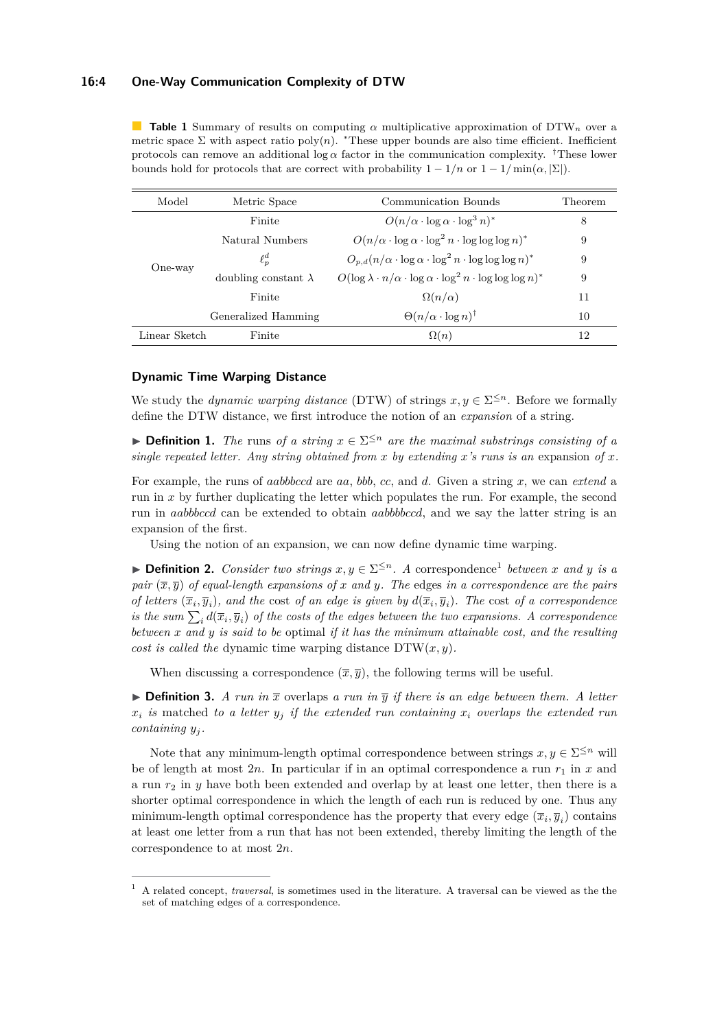#### **16:4 One-Way Communication Complexity of DTW**

<span id="page-3-0"></span>**Table 1** Summary of results on computing *α* multiplicative approximation of DTW*<sup>n</sup>* over a metric space  $\Sigma$  with aspect ratio poly $(n)$ . \*These upper bounds are also time efficient. Inefficient protocols can remove an additional log  $\alpha$  factor in the communication complexity. <sup>†</sup>These lower bounds hold for protocols that are correct with probability  $1 - 1/n$  or  $1 - 1/\min(\alpha, |\Sigma|)$ .

| Model         | Metric Space                | Communication Bounds                                                                       | Theorem |
|---------------|-----------------------------|--------------------------------------------------------------------------------------------|---------|
| One-way       | Finite                      | $O(n/\alpha \cdot \log \alpha \cdot \log^3 n)^*$                                           | 8       |
|               | Natural Numbers             | $O(n/\alpha \cdot \log \alpha \cdot \log^2 n \cdot \log \log \log n)^*$                    | 9       |
|               | $\ell^d_n$                  | $O_{p,d}(n/\alpha \cdot \log \alpha \cdot \log^2 n \cdot \log \log \log n)^*$              | 9       |
|               | doubling constant $\lambda$ | $O(\log \lambda \cdot n/\alpha \cdot \log \alpha \cdot \log^2 n \cdot \log \log \log n)^*$ | 9       |
|               | Finite                      | $\Omega(n/\alpha)$                                                                         | 11      |
|               | Generalized Hamming         | $\Theta(n/\alpha \cdot \log n)^\dagger$                                                    | 10      |
| Linear Sketch | Finite                      | $\Omega(n)$                                                                                | 12      |

#### **Dynamic Time Warping Distance**

We study the *dynamic warping distance* (DTW) of strings  $x, y \in \Sigma^{\leq n}$ . Before we formally define the DTW distance, we first introduce the notion of an *expansion* of a string.

**► Definition 1.** *The* runs of a string  $x \in \Sigma^{\leq n}$  are the maximal substrings consisting of a *single repeated letter. Any string obtained from x by extending x's runs is an expansion of x.* 

For example, the runs of *aabbbccd* are *aa*, *bbb*, *cc*, and *d*. Given a string *x*, we can *extend* a run in *x* by further duplicating the letter which populates the run. For example, the second run in *aabbbccd* can be extended to obtain *aabbbbccd*, and we say the latter string is an expansion of the first.

Using the notion of an expansion, we can now define dynamic time warping.

**► Definition 2.** *Consider two strings*  $x, y \in \Sigma^{\leq n}$ . *A* correspondence<sup>[1](#page-3-1)</sup> *between x* and *y is a pair*  $(\overline{x}, \overline{y})$  *of equal-length expansions of x and y. The edges in a correspondence are the pairs of letters*  $(\overline{x}_i, \overline{y}_i)$ *, and the cost of an edge is given by*  $d(\overline{x}_i, \overline{y}_i)$ *. The cost of a correspondence is the sum*  $\sum_i d(\overline{x}_i, \overline{y}_i)$  *of the costs of the edges between the two expansions.* A correspondence *between x and y is said to be* optimal *if it has the minimum attainable cost, and the resulting cost is called the* dynamic time warping distance  $DTW(x, y)$ *.* 

When discussing a correspondence  $(\overline{x}, \overline{y})$ , the following terms will be useful.

**Definition 3.** A run in  $\bar{x}$  overlaps a run in  $\bar{y}$  if there is an edge between them. A letter  $x_i$  *is* matched *to a letter*  $y_i$  *if the extended run containing*  $x_i$  *overlaps the extended run containing y<sup>j</sup> .*

Note that any minimum-length optimal correspondence between strings  $x, y \in \Sigma^{\leq n}$  will be of length at most  $2n$ . In particular if in an optimal correspondence a run  $r_1$  in x and a run  $r_2$  in  $\gamma$  have both been extended and overlap by at least one letter, then there is a shorter optimal correspondence in which the length of each run is reduced by one. Thus any minimum-length optimal correspondence has the property that every edge  $(\overline{x}_i, \overline{y}_i)$  contains at least one letter from a run that has not been extended, thereby limiting the length of the correspondence to at most 2*n*.

<span id="page-3-1"></span><sup>1</sup> A related concept, *traversal*, is sometimes used in the literature. A traversal can be viewed as the the set of matching edges of a correspondence.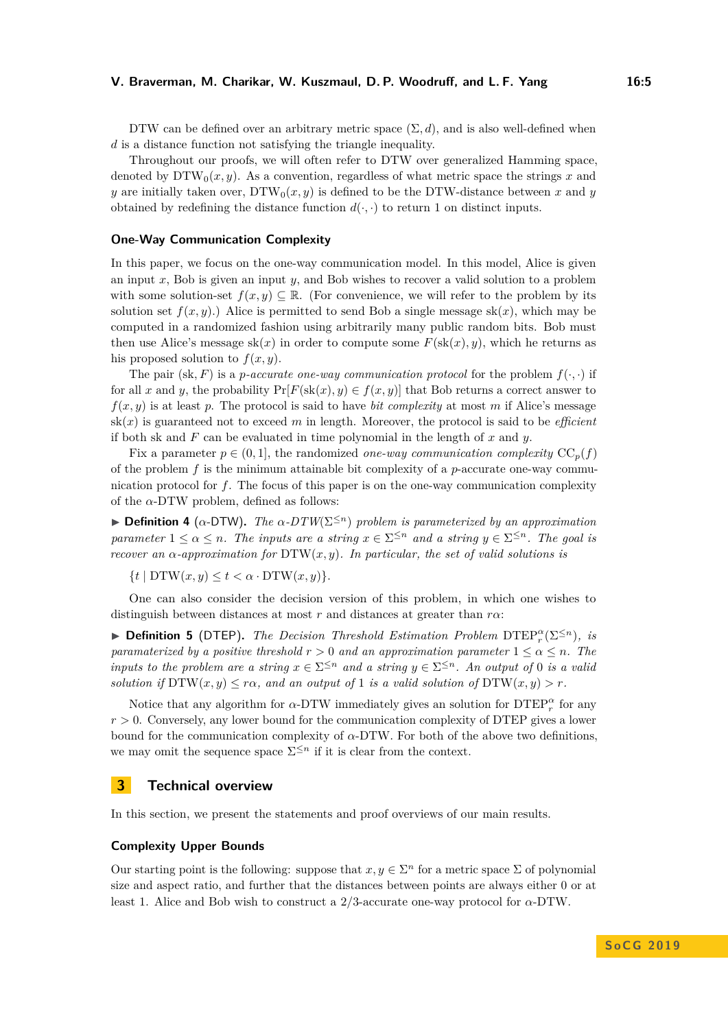DTW can be defined over an arbitrary metric space  $(\Sigma, d)$ , and is also well-defined when *d* is a distance function not satisfying the triangle inequality.

Throughout our proofs, we will often refer to DTW over generalized Hamming space, denoted by  $DTW_0(x, y)$ . As a convention, regardless of what metric space the strings x and *y* are initially taken over,  $DTW_0(x, y)$  is defined to be the DTW-distance between *x* and *y* obtained by redefining the distance function  $d(\cdot, \cdot)$  to return 1 on distinct inputs.

#### **One-Way Communication Complexity**

In this paper, we focus on the one-way communication model. In this model, Alice is given an input *x*, Bob is given an input *y*, and Bob wishes to recover a valid solution to a problem with some solution-set  $f(x, y) \subseteq \mathbb{R}$ . (For convenience, we will refer to the problem by its solution set  $f(x, y)$ .) Alice is permitted to send Bob a single message  $sk(x)$ , which may be computed in a randomized fashion using arbitrarily many public random bits. Bob must then use Alice's message  $sk(x)$  in order to compute some  $F(sk(x), y)$ , which he returns as his proposed solution to  $f(x, y)$ .

The pair (sk, F) is a *p*-accurate one-way communication protocol for the problem  $f(\cdot, \cdot)$  if for all x and y, the probability  $Pr[F(\text{sk}(x), y) \in f(x, y)]$  that Bob returns a correct answer to  $f(x, y)$  is at least *p*. The protocol is said to have *bit complexity* at most *m* if Alice's message  $sk(x)$  is guaranteed not to exceed m in length. Moreover, the protocol is said to be *efficient* if both sk and *F* can be evaluated in time polynomial in the length of *x* and *y*.

Fix a parameter  $p \in (0, 1]$ , the randomized *one-way communication complexity*  $CC_p(f)$ of the problem  $f$  is the minimum attainable bit complexity of a  $p$ -accurate one-way communication protocol for *f*. The focus of this paper is on the one-way communication complexity of the  $\alpha$ -DTW problem, defined as follows:

 $\triangleright$  **Definition 4** ( $\alpha$ -DTW). The  $\alpha$ -DTW( $\Sigma^{\leq n}$ ) problem is parameterized by an approximation *parameter*  $1 \leq \alpha \leq n$ *. The inputs are a string*  $x \in \Sigma^{\leq n}$  *and a string*  $y \in \Sigma^{\leq n}$ *. The goal is recover an*  $\alpha$ -approximation for  $DTW(x, y)$ *. In particular, the set of valid solutions is* 

 ${t \mid DTW(x, y) \leq t \leq \alpha \cdot DTW(x, y)}.$ 

One can also consider the decision version of this problem, in which one wishes to distinguish between distances at most *r* and distances at greater than *rα*:

I **Definition 5** (DTEP)**.** *The Decision Threshold Estimation Problem* DTEP*<sup>α</sup> r* (Σ<sup>≤</sup>*<sup>n</sup>*)*, is paramaterized by a positive threshold*  $r > 0$  *and an approximation parameter*  $1 \leq \alpha \leq n$ *. The inputs to the problem are a string*  $x \in \Sigma^{\leq n}$  *and a string*  $y \in \Sigma^{\leq n}$ *. An output of* 0 *is a valid solution if*  $DTW(x, y) \leq r\alpha$ , and an output of 1 is a valid solution of  $DTW(x, y) > r$ .

Notice that any algorithm for  $\alpha$ -DTW immediately gives an solution for  $\text{DTEP}^{\alpha}_{r}$  for any  $r > 0$ . Conversely, any lower bound for the communication complexity of DTEP gives a lower bound for the communication complexity of *α*-DTW. For both of the above two definitions, we may omit the sequence space  $\Sigma^{\leq n}$  if it is clear from the context.

## <span id="page-4-0"></span>**3 Technical overview**

In this section, we present the statements and proof overviews of our main results.

#### **Complexity Upper Bounds**

Our starting point is the following: suppose that  $x, y \in \Sigma^n$  for a metric space  $\Sigma$  of polynomial size and aspect ratio, and further that the distances between points are always either 0 or at least 1. Alice and Bob wish to construct a 2*/*3-accurate one-way protocol for *α*-DTW.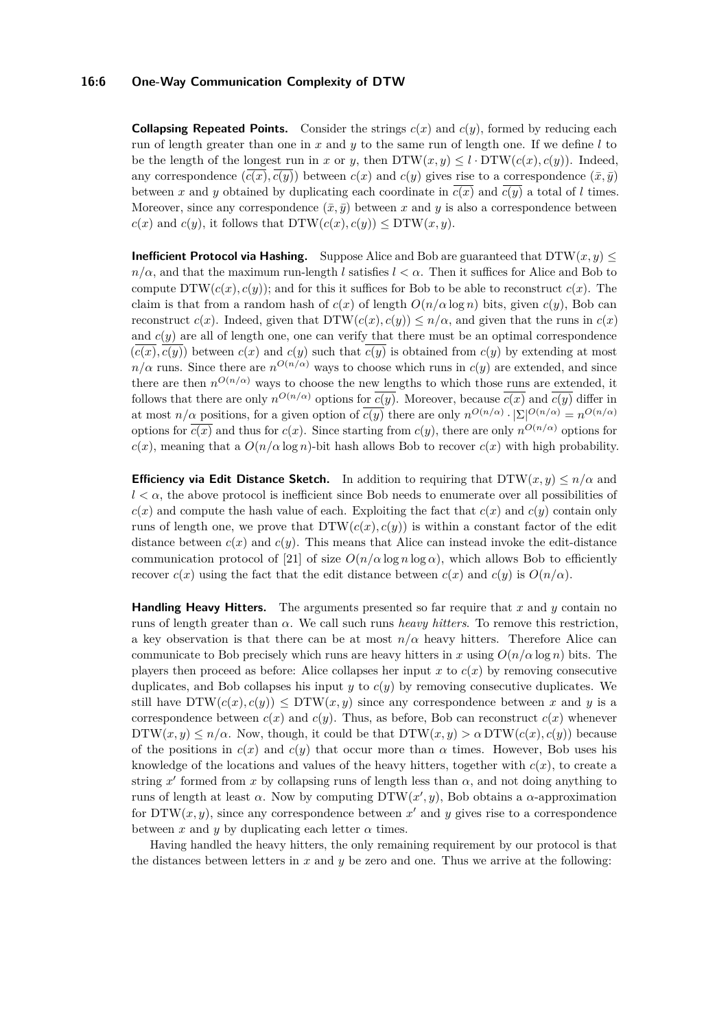#### **16:6 One-Way Communication Complexity of DTW**

**Collapsing Repeated Points.** Consider the strings  $c(x)$  and  $c(y)$ , formed by reducing each run of length greater than one in *x* and *y* to the same run of length one. If we define *l* to be the length of the longest run in *x* or *y*, then  $DTW(x,y) \leq l \cdot DTW(c(x), c(y))$ . Indeed, any correspondence  $(c(\overline{x}, \overline{c(y)})$  between  $c(x)$  and  $c(y)$  gives rise to a correspondence  $(\overline{x}, \overline{y})$ between *x* and *y* obtained by duplicating each coordinate in  $c(x)$  and  $c(y)$  a total of *l* times. Moreover, since any correspondence  $(\bar{x}, \bar{y})$  between *x* and *y* is also a correspondence between  $c(x)$  and  $c(y)$ , it follows that  $DTW(c(x), c(y)) \le DTW(x, y)$ .

**Inefficient Protocol via Hashing.** Suppose Alice and Bob are guaranteed that  $DTW(x, y) \leq$  $n/\alpha$ , and that the maximum run-length *l* satisfies  $l < \alpha$ . Then it suffices for Alice and Bob to compute  $DTW(c(x), c(y))$ ; and for this it suffices for Bob to be able to reconstruct  $c(x)$ . The claim is that from a random hash of  $c(x)$  of length  $O(n/\alpha \log n)$  bits, given  $c(y)$ , Bob can reconstruct  $c(x)$ . Indeed, given that  $DTW(c(x), c(y)) \leq n/\alpha$ , and given that the runs in  $c(x)$ and  $c(y)$  are all of length one, one can verify that there must be an optimal correspondence  $(c(x), c(y))$  between  $c(x)$  and  $c(y)$  such that  $c(y)$  is obtained from  $c(y)$  by extending at most  $n/\alpha$  runs. Since there are  $n^{O(n/\alpha)}$  ways to choose which runs in  $c(y)$  are extended, and since there are then  $n^{O(n/\alpha)}$  ways to choose the new lengths to which those runs are extended, it follows that there are only  $n^{O(n/\alpha)}$  options for  $\overline{c(y)}$ . Moreover, because  $\overline{c(x)}$  and  $\overline{c(y)}$  differ in at most  $n/\alpha$  positions, for a given option of  $\overline{c(y)}$  there are only  $n^{O(n/\alpha)} \cdot |\Sigma|^{O(n/\alpha)} = n^{O(n/\alpha)}$ options for  $\overline{c(x)}$  and thus for  $c(x)$ . Since starting from  $c(y)$ , there are only  $n^{O(n/\alpha)}$  options for  $c(x)$ , meaning that a  $O(n/\alpha \log n)$ -bit hash allows Bob to recover  $c(x)$  with high probability.

**Efficiency via Edit Distance Sketch.** In addition to requiring that  $DTW(x, y) \le n/\alpha$  and  $l < \alpha$ , the above protocol is inefficient since Bob needs to enumerate over all possibilities of  $c(x)$  and compute the hash value of each. Exploiting the fact that  $c(x)$  and  $c(y)$  contain only runs of length one, we prove that  $DTW(c(x), c(y))$  is within a constant factor of the edit distance between  $c(x)$  and  $c(y)$ . This means that Alice can instead invoke the edit-distance communication protocol of [\[21\]](#page-13-12) of size  $O(n/\alpha \log n \log \alpha)$ , which allows Bob to efficiently recover  $c(x)$  using the fact that the edit distance between  $c(x)$  and  $c(y)$  is  $O(n/\alpha)$ .

**Handling Heavy Hitters.** The arguments presented so far require that *x* and *y* contain no runs of length greater than *α*. We call such runs *heavy hitters*. To remove this restriction, a key observation is that there can be at most  $n/\alpha$  heavy hitters. Therefore Alice can communicate to Bob precisely which runs are heavy hitters in *x* using  $O(n/\alpha \log n)$  bits. The players then proceed as before: Alice collapses her input  $x$  to  $c(x)$  by removing consecutive duplicates, and Bob collapses his input *y* to *c*(*y*) by removing consecutive duplicates. We still have  $DTW(c(x), c(y)) \le DTW(x, y)$  since any correspondence between x and y is a correspondence between  $c(x)$  and  $c(y)$ . Thus, as before, Bob can reconstruct  $c(x)$  whenever  $DTW(x, y) \leq n/\alpha$ . Now, though, it could be that  $DTW(x, y) \geq \alpha DTW(c(x), c(y))$  because of the positions in  $c(x)$  and  $c(y)$  that occur more than  $\alpha$  times. However, Bob uses his knowledge of the locations and values of the heavy hitters, together with  $c(x)$ , to create a string  $x'$  formed from  $x$  by collapsing runs of length less than  $\alpha$ , and not doing anything to runs of length at least  $\alpha$ . Now by computing DTW( $x'$ ,  $y$ ), Bob obtains a  $\alpha$ -approximation for  $DTW(x, y)$ , since any correspondence between  $x'$  and  $y$  gives rise to a correspondence between x and y by duplicating each letter  $\alpha$  times.

<span id="page-5-0"></span>Having handled the heavy hitters, the only remaining requirement by our protocol is that the distances between letters in *x* and *y* be zero and one. Thus we arrive at the following: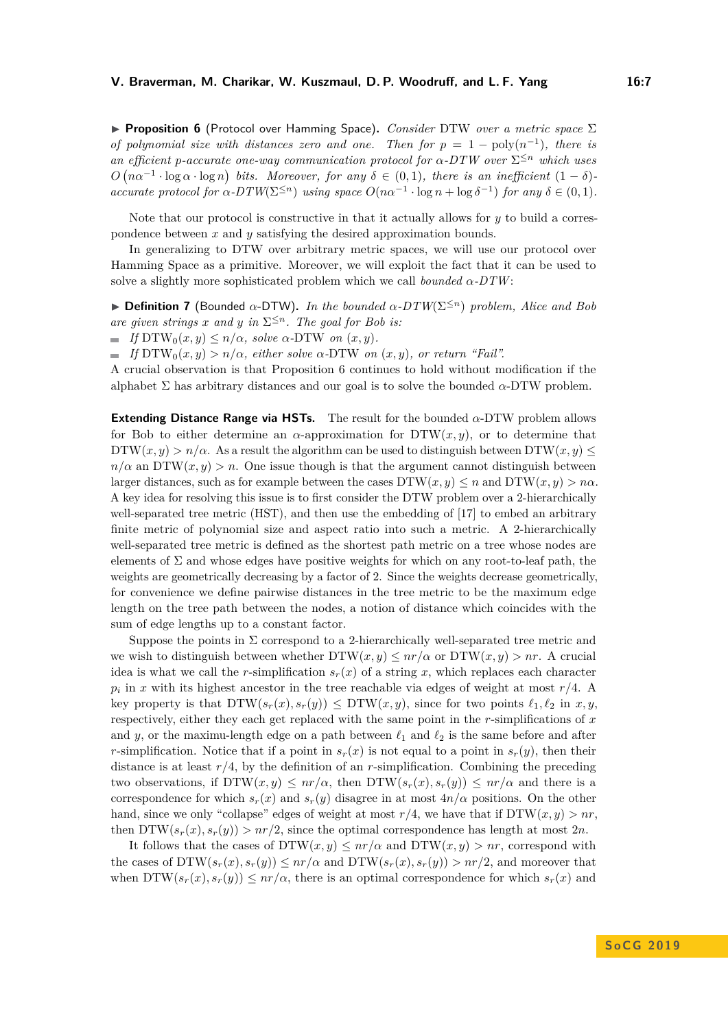**► Proposition 6** (Protocol over Hamming Space). *Consider* DTW *over a metric space* Σ *of polynomial size with distances zero and one. Then for*  $p = 1 - \text{poly}(n^{-1})$ , there is *an efficient p-accurate one-way communication protocol for*  $\alpha$ -DTW over  $\Sigma^{\leq n}$  which uses  $O(n\alpha^{-1} \cdot \log \alpha \cdot \log n)$  bits. Moreover, for any  $\delta \in (0,1)$ , there is an inefficient  $(1-\delta)$ *accurate protocol for*  $\alpha$ -DTW( $\Sigma^{\leq n}$ ) *using space*  $O(n\alpha^{-1} \cdot \log n + \log \delta^{-1})$  *for any*  $\delta \in (0,1)$ *.* 

Note that our protocol is constructive in that it actually allows for *y* to build a correspondence between *x* and *y* satisfying the desired approximation bounds.

In generalizing to DTW over arbitrary metric spaces, we will use our protocol over Hamming Space as a primitive. Moreover, we will exploit the fact that it can be used to solve a slightly more sophisticated problem which we call *bounded α-DTW*:

 $\triangleright$  **Definition 7** (Bounded  $\alpha$ -DTW). *In the bounded*  $\alpha$ -DTW( $\Sigma^{\leq n}$ ) *problem, Alice and Bob are given strings x and y in*  $\Sigma^{\leq n}$ *. The goal for Bob is:* 

 $\blacksquare$  *If*  $DTW_0(x, y) \leq n/\alpha$ *, solve*  $\alpha$ - $DTW$  *on*  $(x, y)$ *.* 

 $\blacksquare$  *If*  $DTW_0(x, y) > n/\alpha$ , either solve  $\alpha$ - $DTW$  on  $(x, y)$ , or return "Fail".

A crucial observation is that Proposition [6](#page-5-0) continues to hold without modification if the alphabet  $\Sigma$  has arbitrary distances and our goal is to solve the bounded  $\alpha$ -DTW problem.

**Extending Distance Range via HSTs.** The result for the bounded *α*-DTW problem allows for Bob to either determine an *α*-approximation for DTW(*x, y*), or to determine that  $DTW(x, y) > n/\alpha$ . As a result the algorithm can be used to distinguish between  $DTW(x, y) \leq$  $n/\alpha$  an DTW(*x, y*) > *n*. One issue though is that the argument cannot distinguish between larger distances, such as for example between the cases  $DTW(x, y) \le n$  and  $DTW(x, y) > n\alpha$ . A key idea for resolving this issue is to first consider the DTW problem over a 2-hierarchically well-separated tree metric (HST), and then use the embedding of [\[17\]](#page-13-13) to embed an arbitrary finite metric of polynomial size and aspect ratio into such a metric. A 2-hierarchically well-separated tree metric is defined as the shortest path metric on a tree whose nodes are elements of  $\Sigma$  and whose edges have positive weights for which on any root-to-leaf path, the weights are geometrically decreasing by a factor of 2. Since the weights decrease geometrically, for convenience we define pairwise distances in the tree metric to be the maximum edge length on the tree path between the nodes, a notion of distance which coincides with the sum of edge lengths up to a constant factor.

Suppose the points in  $\Sigma$  correspond to a 2-hierarchically well-separated tree metric and we wish to distinguish between whether  $DTW(x, y) \leq nr/\alpha$  or  $DTW(x, y) > nr$ . A crucial idea is what we call the *r*-simplification  $s_r(x)$  of a string *x*, which replaces each character  $p_i$  in *x* with its highest ancestor in the tree reachable via edges of weight at most  $r/4$ . A key property is that  $DTW(s_r(x), s_r(y)) \leq DTW(x, y)$ , since for two points  $\ell_1, \ell_2$  in  $x, y$ , respectively, either they each get replaced with the same point in the *r*-simplifications of *x* and *y*, or the maximu-length edge on a path between  $\ell_1$  and  $\ell_2$  is the same before and after *r*-simplification. Notice that if a point in  $s_r(x)$  is not equal to a point in  $s_r(y)$ , then their distance is at least  $r/4$ , by the definition of an  $r$ -simplification. Combining the preceding two observations, if  $DTW(x,y) \leq nr/\alpha$ , then  $DTW(s_r(x), s_r(y)) \leq nr/\alpha$  and there is a correspondence for which  $s_r(x)$  and  $s_r(y)$  disagree in at most  $4n/\alpha$  positions. On the other hand, since we only "collapse" edges of weight at most  $r/4$ , we have that if  $DTW(x, y) > nr$ , then  $DTW(s_r(x), s_r(y)) > nr/2$ , since the optimal correspondence has length at most 2*n*.

It follows that the cases of  $DTW(x, y) \leq nr/\alpha$  and  $DTW(x, y) > nr$ , correspond with the cases of  $DTW(s_r(x), s_r(y)) \leq nr/\alpha$  and  $DTW(s_r(x), s_r(y)) > nr/2$ , and moreover that when  $DTW(s_r(x), s_r(y)) \leq nr/\alpha$ , there is an optimal correspondence for which  $s_r(x)$  and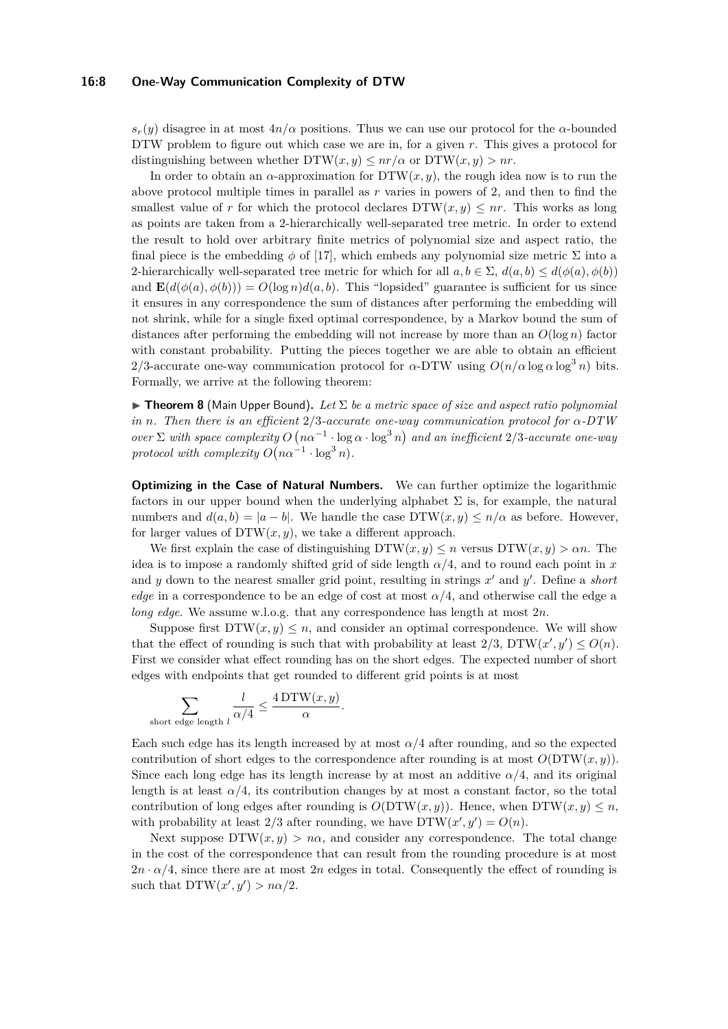#### **16:8 One-Way Communication Complexity of DTW**

 $s_r(y)$  disagree in at most  $4n/\alpha$  positions. Thus we can use our protocol for the  $\alpha$ -bounded DTW problem to figure out which case we are in, for a given *r*. This gives a protocol for distinguishing between whether  $DTW(x, y) \leq nr/\alpha$  or  $DTW(x, y) > nr$ .

In order to obtain an  $\alpha$ -approximation for  $DTW(x, y)$ , the rough idea now is to run the above protocol multiple times in parallel as *r* varies in powers of 2, and then to find the smallest value of r for which the protocol declares  $DTW(x, y) \leq nr$ . This works as long as points are taken from a 2-hierarchically well-separated tree metric. In order to extend the result to hold over arbitrary finite metrics of polynomial size and aspect ratio, the final piece is the embedding  $\phi$  of [\[17\]](#page-13-13), which embeds any polynomial size metric  $\Sigma$  into a 2-hierarchically well-separated tree metric for which for all  $a, b \in \Sigma$ ,  $d(a, b) \leq d(\phi(a), \phi(b))$ and  $\mathbf{E}(d(\phi(a), \phi(b))) = O(\log n) d(a, b)$ . This "lopsided" guarantee is sufficient for us since it ensures in any correspondence the sum of distances after performing the embedding will not shrink, while for a single fixed optimal correspondence, by a Markov bound the sum of distances after performing the embedding will not increase by more than an  $O(\log n)$  factor with constant probability. Putting the pieces together we are able to obtain an efficient 2/3-accurate one-way communication protocol for  $\alpha$ -DTW using  $O(n/\alpha \log \alpha \log^3 n)$  bits. Formally, we arrive at the following theorem:

<span id="page-7-0"></span>**Find 1 Find 1 Find 1 C** (Main Upper Bound). Let  $\Sigma$  be a metric space of size and aspect ratio polynomial *in n. Then there is an efficient* 2*/*3*-accurate one-way communication protocol for α-DTW over*  $\Sigma$  *with space complexity*  $O(n\alpha^{-1} \cdot \log \alpha \cdot \log^3 n)$  *and an inefficient* 2*/*3*-accurate one-way protocol with complexity*  $O(n\alpha^{-1} \cdot \log^3 n)$ *.* 

**Optimizing in the Case of Natural Numbers.** We can further optimize the logarithmic factors in our upper bound when the underlying alphabet  $\Sigma$  is, for example, the natural numbers and  $d(a, b) = |a - b|$ . We handle the case  $DTW(x, y) \leq n/\alpha$  as before. However, for larger values of  $DTW(x, y)$ , we take a different approach.

We first explain the case of distinguishing  $DTW(x, y) \leq n$  versus  $DTW(x, y) > \alpha n$ . The idea is to impose a randomly shifted grid of side length  $\alpha/4$ , and to round each point in x and  $y$  down to the nearest smaller grid point, resulting in strings  $x'$  and  $y'$ . Define a *short edge* in a correspondence to be an edge of cost at most  $\alpha/4$ , and otherwise call the edge a *long edge*. We assume w.l.o.g. that any correspondence has length at most 2*n*.

Suppose first  $DTW(x, y) \leq n$ , and consider an optimal correspondence. We will show that the effect of rounding is such that with probability at least  $2/3$ ,  $DTW(x', y') \leq O(n)$ . First we consider what effect rounding has on the short edges. The expected number of short edges with endpoints that get rounded to different grid points is at most

$$
\sum_{\text{short edge length } l} \frac{l}{\alpha/4} \le \frac{4 \text{DTW}(x, y)}{\alpha}.
$$

Each such edge has its length increased by at most  $\alpha/4$  after rounding, and so the expected contribution of short edges to the correspondence after rounding is at most  $O(DTW(x, y))$ . Since each long edge has its length increase by at most an additive  $\alpha/4$ , and its original length is at least  $\alpha/4$ , its contribution changes by at most a constant factor, so the total contribution of long edges after rounding is  $O(DTW(x, y))$ . Hence, when  $DTW(x, y) \leq n$ , with probability at least  $2/3$  after rounding, we have  $DTW(x', y') = O(n)$ .

Next suppose  $DTW(x, y) > n\alpha$ , and consider any correspondence. The total change in the cost of the correspondence that can result from the rounding procedure is at most  $2n \cdot \alpha/4$ , since there are at most  $2n$  edges in total. Consequently the effect of rounding is such that  $DTW(x', y') > n\alpha/2$ .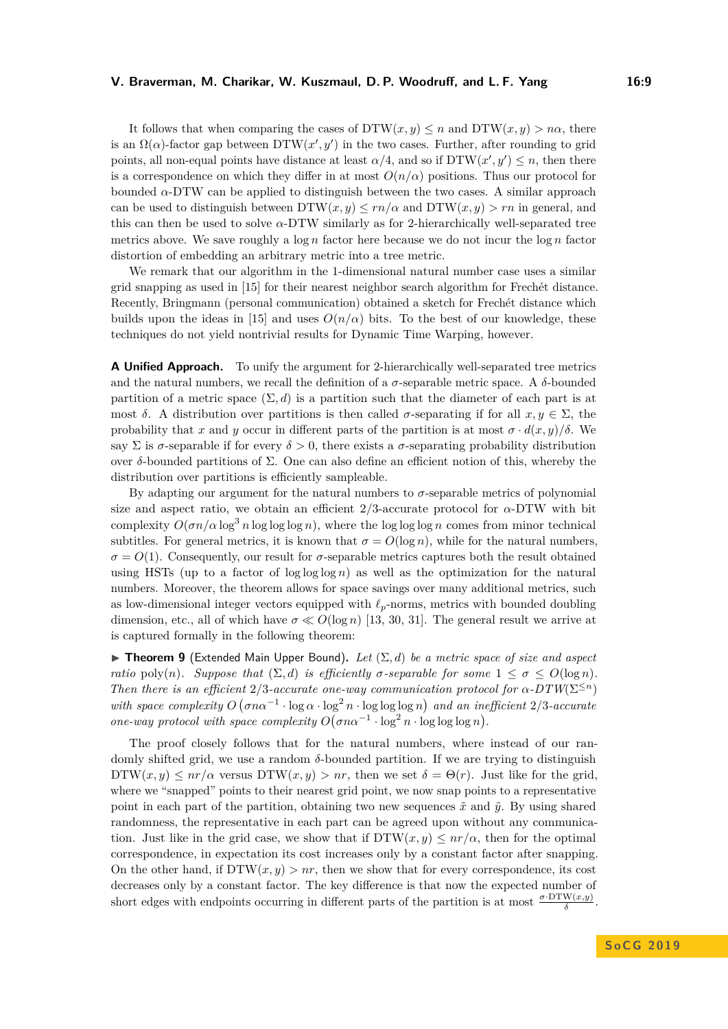It follows that when comparing the cases of  $DTW(x, y) \leq n$  and  $DTW(x, y) > n\alpha$ , there is an  $\Omega(\alpha)$ -factor gap between  $DTW(x', y')$  in the two cases. Further, after rounding to grid points, all non-equal points have distance at least  $\alpha/4$ , and so if  $DTW(x', y') \leq n$ , then there is a correspondence on which they differ in at most  $O(n/\alpha)$  positions. Thus our protocol for bounded  $\alpha$ -DTW can be applied to distinguish between the two cases. A similar approach can be used to distinguish between  $DTW(x, y) \le rn/\alpha$  and  $DTW(x, y) > rn$  in general, and this can then be used to solve *α*-DTW similarly as for 2-hierarchically well-separated tree metrics above. We save roughly a log *n* factor here because we do not incur the log *n* factor distortion of embedding an arbitrary metric into a tree metric.

We remark that our algorithm in the 1-dimensional natural number case uses a similar grid snapping as used in [\[15\]](#page-12-9) for their nearest neighbor search algorithm for Frechét distance. Recently, Bringmann (personal communication) obtained a sketch for Frechét distance which builds upon the ideas in [\[15\]](#page-12-9) and uses  $O(n/\alpha)$  bits. To the best of our knowledge, these techniques do not yield nontrivial results for Dynamic Time Warping, however.

**A Unified Approach.** To unify the argument for 2-hierarchically well-separated tree metrics and the natural numbers, we recall the definition of a  $\sigma$ -separable metric space. A  $\delta$ -bounded partition of a metric space  $(\Sigma, d)$  is a partition such that the diameter of each part is at most  $\delta$ . A distribution over partitions is then called  $\sigma$ -separating if for all  $x, y \in \Sigma$ , the probability that *x* and *y* occur in different parts of the partition is at most  $\sigma \cdot d(x, y)/\delta$ . We say  $\Sigma$  is  $\sigma$ -separable if for every  $\delta > 0$ , there exists a  $\sigma$ -separating probability distribution over *δ*-bounded partitions of Σ. One can also define an efficient notion of this, whereby the distribution over partitions is efficiently sampleable.

By adapting our argument for the natural numbers to  $\sigma$ -separable metrics of polynomial size and aspect ratio, we obtain an efficient  $2/3$ -accurate protocol for  $\alpha$ -DTW with bit complexity  $O(\sigma n/\alpha \log^3 n \log \log \log n)$ , where the log log  $n$  comes from minor technical subtitles. For general metrics, it is known that  $\sigma = O(\log n)$ , while for the natural numbers,  $\sigma = O(1)$ . Consequently, our result for  $\sigma$ -separable metrics captures both the result obtained using HSTs (up to a factor of  $\log \log \log n$ ) as well as the optimization for the natural numbers. Moreover, the theorem allows for space savings over many additional metrics, such as low-dimensional integer vectors equipped with  $\ell_p$ -norms, metrics with bounded doubling dimension, etc., all of which have  $\sigma \ll O(\log n)$  [\[13,](#page-12-13) [30,](#page-13-14) [31\]](#page-13-15). The general result we arrive at is captured formally in the following theorem:

<span id="page-8-0"></span>**Figure 1 Theorem 9** (Extended Main Upper Bound). Let  $(\Sigma, d)$  be a metric space of size and aspect *ratio* poly(*n*)*.* Suppose that  $(\Sigma, d)$  *is efficiently*  $\sigma$ -separable for some  $1 \leq \sigma \leq O(\log n)$ *. Then there is an efficient*  $2/3$ -accurate one-way communication protocol for  $\alpha$ -DTW( $\Sigma^{\leq n}$ ) *with space complexity*  $O(\sigma n\alpha^{-1} \cdot \log \alpha \cdot \log^2 n \cdot \log \log \log n)$  and an inefficient 2/3-accurate *one-way protocol with space complexity*  $O(\sigma n \alpha^{-1} \cdot \log^2 n \cdot \log \log \log n)$ .

The proof closely follows that for the natural numbers, where instead of our randomly shifted grid, we use a random *δ*-bounded partition. If we are trying to distinguish  $DTW(x, y) \leq nr/\alpha$  versus  $DTW(x, y) > nr$ , then we set  $\delta = \Theta(r)$ . Just like for the grid, where we "snapped" points to their nearest grid point, we now snap points to a representative point in each part of the partition, obtaining two new sequences  $\tilde{x}$  and  $\tilde{y}$ . By using shared randomness, the representative in each part can be agreed upon without any communication. Just like in the grid case, we show that if  $DTW(x, y) \leq nr/\alpha$ , then for the optimal correspondence, in expectation its cost increases only by a constant factor after snapping. On the other hand, if  $DTW(x, y) > nr$ , then we show that for every correspondence, its cost decreases only by a constant factor. The key difference is that now the expected number of short edges with endpoints occurring in different parts of the partition is at most  $\frac{\sigma \cdot \text{DTW}(x,y)}{\delta}$ .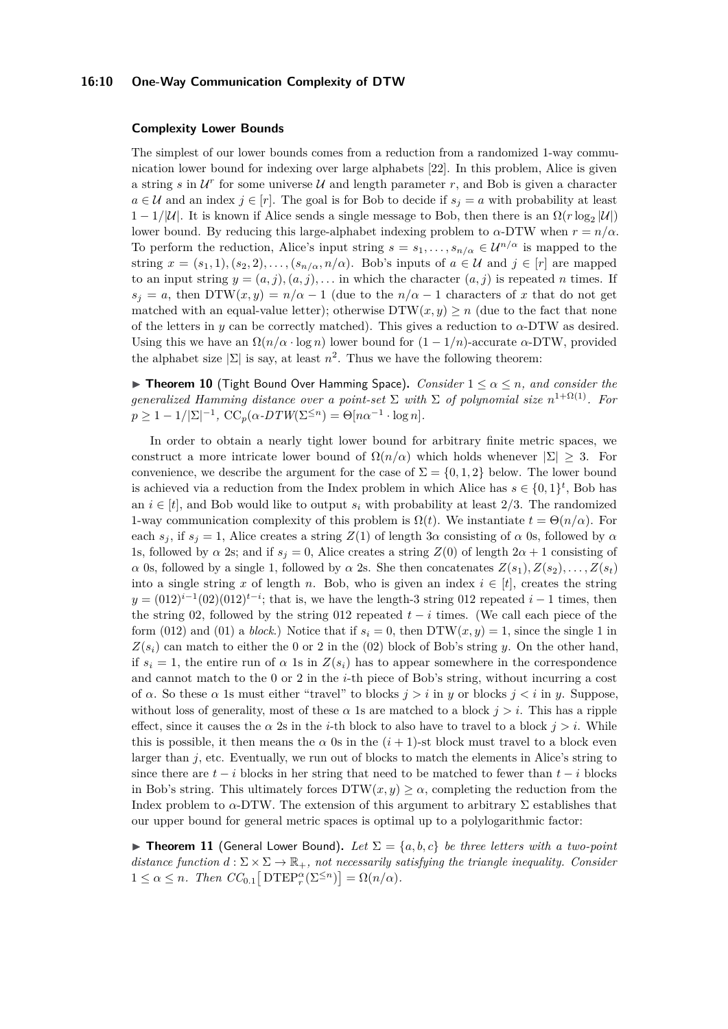#### **16:10 One-Way Communication Complexity of DTW**

#### **Complexity Lower Bounds**

The simplest of our lower bounds comes from a reduction from a randomized 1-way communication lower bound for indexing over large alphabets [\[22\]](#page-13-16). In this problem, Alice is given a string  $s$  in  $\mathcal{U}^r$  for some universe  $\mathcal{U}$  and length parameter  $r$ , and Bob is given a character *a* ∈ *U* and an index *j* ∈ [*r*]. The goal is for Bob to decide if  $s_j = a$  with probability at least  $1 - 1/|\mathcal{U}|$ . It is known if Alice sends a single message to Bob, then there is an  $\Omega(r \log_2 |\mathcal{U}|)$ lower bound. By reducing this large-alphabet indexing problem to  $\alpha$ -DTW when  $r = n/\alpha$ . To perform the reduction, Alice's input string  $s = s_1, \ldots, s_{n/\alpha} \in \mathcal{U}^{n/\alpha}$  is mapped to the string  $x = (s_1, 1), (s_2, 2), \ldots, (s_{n/\alpha}, n/\alpha)$ . Bob's inputs of  $a \in \mathcal{U}$  and  $j \in [r]$  are mapped to an input string  $y = (a, j), (a, j), \ldots$  in which the character  $(a, j)$  is repeated *n* times. If  $s_j = a$ , then DTW $(x, y) = n/\alpha - 1$  (due to the  $n/\alpha - 1$  characters of *x* that do not get matched with an equal-value letter); otherwise  $DTW(x, y) \geq n$  (due to the fact that none of the letters in  $y$  can be correctly matched). This gives a reduction to  $\alpha$ -DTW as desired. Using this we have an  $\Omega(n/\alpha \cdot \log n)$  lower bound for  $(1 - 1/n)$ -accurate  $\alpha$ -DTW, provided the alphabet size  $|\Sigma|$  is say, at least  $n^2$ . Thus we have the following theorem:

<span id="page-9-1"></span>**Figure 10** (Tight Bound Over Hamming Space). *Consider*  $1 \leq \alpha \leq n$ , and consider the *generalized Hamming distance over a point-set*  $\Sigma$  *with*  $\Sigma$  *of polynomial size*  $n^{1+\Omega(1)}$ *. For*  $p \geq 1 - 1/|\Sigma|^{-1}$ ,  $\mathrm{CC}_p(\alpha \cdot DTW(\Sigma^{\leq n}) = \Theta[n\alpha^{-1} \cdot \log n]$ *.* 

In order to obtain a nearly tight lower bound for arbitrary finite metric spaces, we construct a more intricate lower bound of  $\Omega(n/\alpha)$  which holds whenever  $|\Sigma| \geq 3$ . For convenience, we describe the argument for the case of  $\Sigma = \{0, 1, 2\}$  below. The lower bound is achieved via a reduction from the Index problem in which Alice has  $s \in \{0,1\}^t$ , Bob has an  $i \in [t]$ , and Bob would like to output  $s_i$  with probability at least 2/3. The randomized 1-way communication complexity of this problem is  $\Omega(t)$ . We instantiate  $t = \Theta(n/\alpha)$ . For each  $s_j$ , if  $s_j = 1$ , Alice creates a string  $Z(1)$  of length 3*α* consisting of *α* 0s, followed by *α* 1s, followed by *α* 2s; and if  $s_j = 0$ , Alice creates a string  $Z(0)$  of length  $2\alpha + 1$  consisting of *α* 0s, followed by *a* single 1, followed by *α* 2s. She then concatenates  $Z(s_1), Z(s_2), \ldots, Z(s_t)$ into a single string *x* of length *n*. Bob, who is given an index  $i \in [t]$ , creates the string  $y = (012)^{i-1}(02)(012)^{t-i}$ ; that is, we have the length-3 string 012 repeated  $i-1$  times, then the string 02, followed by the string 012 repeated  $t - i$  times. (We call each piece of the form (012) and (01) a *block*.) Notice that if  $s_i = 0$ , then DTW( $x, y$ ) = 1, since the single 1 in  $Z(s_i)$  can match to either the 0 or 2 in the (02) block of Bob's string *y*. On the other hand, if  $s_i = 1$ , the entire run of  $\alpha$  1s in  $Z(s_i)$  has to appear somewhere in the correspondence and cannot match to the 0 or 2 in the *i*-th piece of Bob's string, without incurring a cost of *α*. So these *α* 1s must either "travel" to blocks *j > i* in *y* or blocks *j < i* in *y*. Suppose, without loss of generality, most of these  $\alpha$  1s are matched to a block  $j > i$ . This has a ripple effect, since it causes the  $\alpha$  2s in the *i*-th block to also have to travel to a block  $j > i$ . While this is possible, it then means the  $\alpha$  0s in the  $(i + 1)$ -st block must travel to a block even larger than *j*, etc. Eventually, we run out of blocks to match the elements in Alice's string to since there are  $t - i$  blocks in her string that need to be matched to fewer than  $t - i$  blocks in Bob's string. This ultimately forces  $DTW(x, y) \geq \alpha$ , completing the reduction from the Index problem to  $\alpha$ -DTW. The extension of this argument to arbitrary  $\Sigma$  establishes that our upper bound for general metric spaces is optimal up to a polylogarithmic factor:

<span id="page-9-0"></span>**Figure 11** (General Lower Bound). Let  $\Sigma = \{a, b, c\}$  be three letters with a two-point *distance function*  $d : \Sigma \times \Sigma \to \mathbb{R}_+$ *, not necessarily satisfying the triangle inequality. Consider*  $1 \leq \alpha \leq n$ *. Then*  $CC_{0.1} [\text{DTEP}_r^{\alpha}(\Sigma^{\leq n})] = \Omega(n/\alpha)$ *.*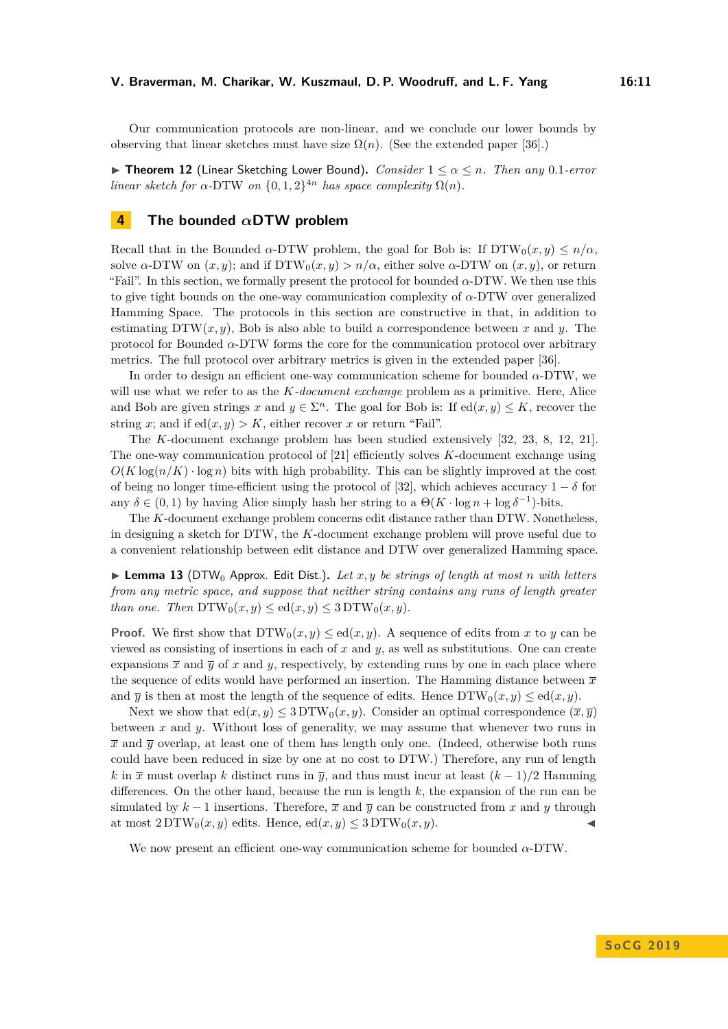Our communication protocols are non-linear, and we conclude our lower bounds by observing that linear sketches must have size  $\Omega(n)$ . (See the extended paper [\[36\]](#page-14-4).)

<span id="page-10-0"></span>I **Theorem 12** (Linear Sketching Lower Bound)**.** *Consider* 1 ≤ *α* ≤ *n. Then any* 0*.*1*-error linear sketch for*  $\alpha$ -DTW *on*  $\{0,1,2\}^{4n}$  *has space complexity*  $\Omega(n)$ *.* 

## <span id="page-10-1"></span>**4 The bounded** *α***DTW problem**

Recall that in the Bounded  $\alpha$ -DTW problem, the goal for Bob is: If  $DTW_0(x, y) \leq n/\alpha$ . solve  $\alpha$ -DTW on  $(x, y)$ ; and if DTW<sub>0</sub> $(x, y) > n/\alpha$ , either solve  $\alpha$ -DTW on  $(x, y)$ , or return "Fail". In this section, we formally present the protocol for bounded  $\alpha$ -DTW. We then use this to give tight bounds on the one-way communication complexity of *α*-DTW over generalized Hamming Space. The protocols in this section are constructive in that, in addition to estimating  $DTW(x, y)$ , Bob is also able to build a correspondence between x and y. The protocol for Bounded *α*-DTW forms the core for the communication protocol over arbitrary metrics. The full protocol over arbitrary metrics is given in the extended paper [\[36\]](#page-14-4).

In order to design an efficient one-way communication scheme for bounded *α*-DTW, we will use what we refer to as the *K-document exchange* problem as a primitive. Here, Alice and Bob are given strings *x* and  $y \in \Sigma<sup>n</sup>$ . The goal for Bob is: If  $ed(x, y) \leq K$ , recover the string *x*; and if  $ed(x, y) > K$ , either recover *x* or return "Fail".

The *K*-document exchange problem has been studied extensively [\[32,](#page-13-17) [23,](#page-13-18) [8,](#page-12-11) [12,](#page-12-14) [21\]](#page-13-12). The one-way communication protocol of [\[21\]](#page-13-12) efficiently solves *K*-document exchange using  $O(K \log(n/K) \cdot \log n)$  bits with high probability. This can be slightly improved at the cost of being no longer time-efficient using the protocol of [\[32\]](#page-13-17), which achieves accuracy  $1 - \delta$  for any  $\delta \in (0,1)$  by having Alice simply hash her string to a  $\Theta(K \cdot \log n + \log \delta^{-1})$ -bits.

The *K*-document exchange problem concerns edit distance rather than DTW. Nonetheless, in designing a sketch for DTW, the *K*-document exchange problem will prove useful due to a convenient relationship between edit distance and DTW over generalized Hamming space.

<span id="page-10-2"></span> $\triangleright$  **Lemma 13** (DTW<sub>0</sub> Approx. Edit Dist.). Let x, y be strings of length at most *n* with letters *from any metric space, and suppose that neither string contains any runs of length greater than one. Then*  $DTW_0(x, y) \leq ed(x, y) \leq 3 DTW_0(x, y)$ .

**Proof.** We first show that  $DTW_0(x, y) \leq ed(x, y)$ . A sequence of edits from x to y can be viewed as consisting of insertions in each of *x* and *y*, as well as substitutions. One can create expansions  $\bar{x}$  and  $\bar{y}$  of x and y, respectively, by extending runs by one in each place where the sequence of edits would have performed an insertion. The Hamming distance between  $\bar{x}$ and  $\overline{y}$  is then at most the length of the sequence of edits. Hence  $DTW_0(x, y) \leq \text{ed}(x, y)$ .

Next we show that  $ed(x, y) \leq 3DTW_0(x, y)$ . Consider an optimal correspondence  $(\overline{x}, \overline{y})$ between *x* and *y*. Without loss of generality, we may assume that whenever two runs in  $\bar{x}$  and  $\bar{y}$  overlap, at least one of them has length only one. (Indeed, otherwise both runs could have been reduced in size by one at no cost to DTW.) Therefore, any run of length *k* in  $\bar{x}$  must overlap *k* distinct runs in  $\bar{y}$ , and thus must incur at least  $(k-1)/2$  Hamming differences. On the other hand, because the run is length *k*, the expansion of the run can be simulated by  $k - 1$  insertions. Therefore,  $\bar{x}$  and  $\bar{y}$  can be constructed from x and y through at most  $2DTW_0(x, y)$  edits. Hence,  $ed(x, y) \leq 3DTW_0(x, y)$ .

<span id="page-10-3"></span>We now present an efficient one-way communication scheme for bounded *α*-DTW.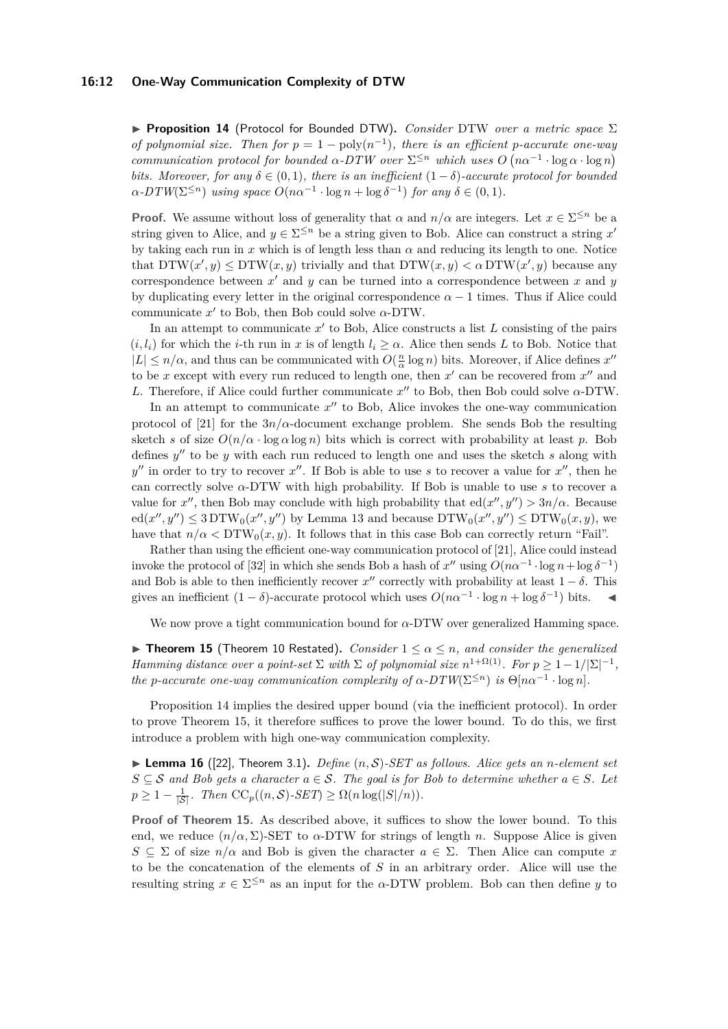#### **16:12 One-Way Communication Complexity of DTW**

**► Proposition 14** (Protocol for Bounded DTW). *Consider DTW over a metric space* Σ *of polynomial size. Then for*  $p = 1 - \text{poly}(n^{-1})$ , there is an efficient *p*-accurate one-way *communication protocol for bounded*  $\alpha$ -DTW over  $\Sigma^{\leq n}$  which uses  $O(n\alpha^{-1} \cdot \log \alpha \cdot \log n)$ *bits. Moreover, for any*  $\delta \in (0,1)$ *, there is an inefficient*  $(1-\delta)$ *-accurate protocol for bounded*  $\alpha$ -DTW( $\Sigma^{\leq n}$ ) *using space*  $O(n\alpha^{-1} \cdot \log n + \log \delta^{-1})$  *for any*  $\delta \in (0,1)$ *.* 

**Proof.** We assume without loss of generality that  $\alpha$  and  $n/\alpha$  are integers. Let  $x \in \Sigma^{\leq n}$  be a string given to Alice, and  $y \in \Sigma^{\leq n}$  be a string given to Bob. Alice can construct a string  $x'$ by taking each run in *x* which is of length less than *α* and reducing its length to one. Notice that  $DTW(x', y) \le DTW(x, y)$  trivially and that  $DTW(x, y) < \alpha DTW(x', y)$  because any correspondence between  $x'$  and  $y$  can be turned into a correspondence between  $x$  and  $y$ by duplicating every letter in the original correspondence  $\alpha - 1$  times. Thus if Alice could communicate  $x'$  to Bob, then Bob could solve  $\alpha$ -DTW.

In an attempt to communicate  $x'$  to Bob, Alice constructs a list  $L$  consisting of the pairs  $(i, l_i)$  for which the *i*-th run in *x* is of length  $l_i \geq \alpha$ . Alice then sends L to Bob. Notice that  $|L| \leq n/\alpha$ , and thus can be communicated with  $O(\frac{n}{\alpha} \log n)$  bits. Moreover, if Alice defines  $x''$ to be x except with every run reduced to length one, then  $x'$  can be recovered from  $x''$  and *L*. Therefore, if Alice could further communicate  $x''$  to Bob, then Bob could solve  $\alpha$ -DTW.

In an attempt to communicate  $x''$  to Bob, Alice invokes the one-way communication protocol of [\[21\]](#page-13-12) for the  $3n/\alpha$ -document exchange problem. She sends Bob the resulting sketch *s* of size  $O(n/\alpha \cdot \log n)$  bits which is correct with probability at least *p*. Bob defines  $y''$  to be  $y$  with each run reduced to length one and uses the sketch  $s$  along with  $y''$  in order to try to recover *x*<sup>"</sup>. If Bob is able to use *s* to recover a value for *x*<sup>"</sup>, then he can correctly solve *α*-DTW with high probability. If Bob is unable to use *s* to recover a value for x'', then Bob may conclude with high probability that  $ed(x'', y'') > 3n/\alpha$ . Because  $ed(x'', y'') \leq 3 DTW_0(x'', y'')$  by Lemma [13](#page-10-2) and because  $DTW_0(x'', y'') \leq DTW_0(x, y)$ , we have that  $n/\alpha < \text{DTW}_0(x, y)$ . It follows that in this case Bob can correctly return "Fail".

Rather than using the efficient one-way communication protocol of [\[21\]](#page-13-12), Alice could instead invoke the protocol of [\[32\]](#page-13-17) in which she sends Bob a hash of  $x''$  using  $O(n\alpha^{-1} \cdot \log n + \log \delta^{-1})$ and Bob is able to then inefficiently recover  $x''$  correctly with probability at least  $1 - \delta$ . This gives an inefficient  $(1 - \delta)$ -accurate protocol which uses  $O(n\alpha^{-1} \cdot \log n + \log \delta^{-1})$  bits.

We now prove a tight communication bound for *α*-DTW over generalized Hamming space.

<span id="page-11-0"></span>**Findmer 15** (Theorem [10](#page-9-1) Restated). *Consider*  $1 \leq \alpha \leq n$ *, and consider the generalized Hamming distance over a point-set*  $\Sigma$  *with*  $\Sigma$  *of polynomial size*  $n^{1+\Omega(1)}$ *. For*  $p \geq 1-1/|\Sigma|^{-1}$ *, the p*-accurate one-way communication complexity of  $\alpha$ -DTW( $\Sigma^{\leq n}$ ) is  $\Theta[n\alpha^{-1} \cdot \log n]$ .

Proposition [14](#page-10-3) implies the desired upper bound (via the inefficient protocol). In order to prove Theorem [15,](#page-11-0) it therefore suffices to prove the lower bound. To do this, we first introduce a problem with high one-way communication complexity.

<span id="page-11-1"></span> $\blacktriangleright$  **Lemma 16** ([\[22\]](#page-13-16), Theorem 3.1). *Define*  $(n, S)$ -*SET* as follows. Alice gets an *n*-element set *S* ⊆ S and Bob gets a character  $a \in S$ . The goal is for Bob to determine whether  $a \in S$ . Let  $p \geq 1 - \frac{1}{|S|}$ *. Then*  $\mathrm{CC}_p((n, S) \text{-} \mathrm{SET}) \geq \Omega(n \log(|S|/n))$ *.* 

**Proof of Theorem [15.](#page-11-0)** As described above, it suffices to show the lower bound. To this end, we reduce  $(n/\alpha, \Sigma)$ -SET to  $\alpha$ -DTW for strings of length *n*. Suppose Alice is given  $S \subseteq \Sigma$  of size  $n/\alpha$  and Bob is given the character  $a \in \Sigma$ . Then Alice can compute *x* to be the concatenation of the elements of *S* in an arbitrary order. Alice will use the resulting string  $x \in \Sigma^{\leq n}$  as an input for the *α*-DTW problem. Bob can then define *y* to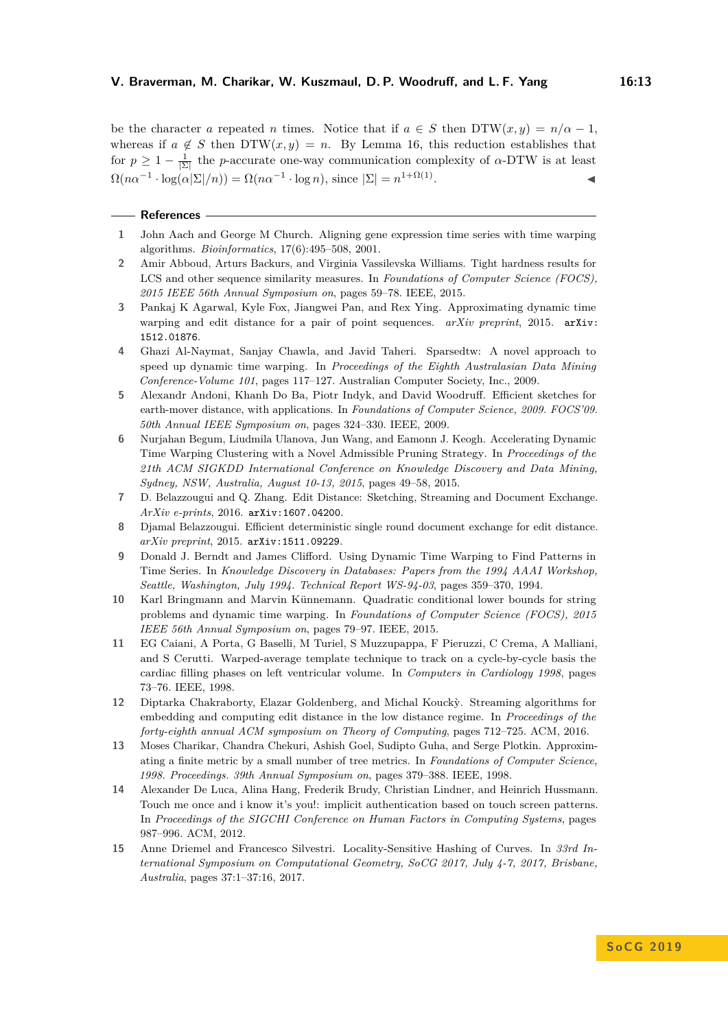be the character *a* repeated *n* times. Notice that if  $a \in S$  then  $DTW(x, y) = n/\alpha - 1$ , whereas if  $a \notin S$  then DTW $(x, y) = n$ . By Lemma [16,](#page-11-1) this reduction establishes that for  $p \geq 1 - \frac{1}{|\Sigma|}$  the *p*-accurate one-way communication complexity of *α*-DTW is at least  $\Omega(n\alpha^{-1} \cdot \log(\alpha|\Sigma|/n)) = \Omega(n\alpha^{-1} \cdot \log n)$ , since  $|\Sigma| = n^{1+\Omega(1)}$ . The set of the set of  $\mathcal{A}$ 

#### **References**

- <span id="page-12-2"></span>**1** John Aach and George M Church. Aligning gene expression time series with time warping algorithms. *Bioinformatics*, 17(6):495–508, 2001.
- <span id="page-12-7"></span>**2** Amir Abboud, Arturs Backurs, and Virginia Vassilevska Williams. Tight hardness results for LCS and other sequence similarity measures. In *Foundations of Computer Science (FOCS), 2015 IEEE 56th Annual Symposium on*, pages 59–78. IEEE, 2015.
- <span id="page-12-8"></span>**3** Pankaj K Agarwal, Kyle Fox, Jiangwei Pan, and Rex Ying. Approximating dynamic time warping and edit distance for a pair of point sequences. *arXiv preprint*, 2015. **arXiv**: [1512.01876](http://arxiv.org/abs/1512.01876).
- <span id="page-12-5"></span>**4** Ghazi Al-Naymat, Sanjay Chawla, and Javid Taheri. Sparsedtw: A novel approach to speed up dynamic time warping. In *Proceedings of the Eighth Australasian Data Mining Conference-Volume 101*, pages 117–127. Australian Computer Society, Inc., 2009.
- <span id="page-12-12"></span>**5** Alexandr Andoni, Khanh Do Ba, Piotr Indyk, and David Woodruff. Efficient sketches for earth-mover distance, with applications. In *Foundations of Computer Science, 2009. FOCS'09. 50th Annual IEEE Symposium on*, pages 324–330. IEEE, 2009.
- <span id="page-12-4"></span>**6** Nurjahan Begum, Liudmila Ulanova, Jun Wang, and Eamonn J. Keogh. Accelerating Dynamic Time Warping Clustering with a Novel Admissible Pruning Strategy. In *Proceedings of the 21th ACM SIGKDD International Conference on Knowledge Discovery and Data Mining, Sydney, NSW, Australia, August 10-13, 2015*, pages 49–58, 2015.
- <span id="page-12-10"></span>**7** D. Belazzougui and Q. Zhang. Edit Distance: Sketching, Streaming and Document Exchange. *ArXiv e-prints*, 2016. [arXiv:1607.04200](http://arxiv.org/abs/1607.04200).
- <span id="page-12-11"></span>**8** Djamal Belazzougui. Efficient deterministic single round document exchange for edit distance. *arXiv preprint*, 2015. [arXiv:1511.09229](http://arxiv.org/abs/1511.09229).
- <span id="page-12-0"></span>**9** Donald J. Berndt and James Clifford. Using Dynamic Time Warping to Find Patterns in Time Series. In *Knowledge Discovery in Databases: Papers from the 1994 AAAI Workshop, Seattle, Washington, July 1994. Technical Report WS-94-03*, pages 359–370, 1994.
- <span id="page-12-6"></span>**10** Karl Bringmann and Marvin Künnemann. Quadratic conditional lower bounds for string problems and dynamic time warping. In *Foundations of Computer Science (FOCS), 2015 IEEE 56th Annual Symposium on*, pages 79–97. IEEE, 2015.
- <span id="page-12-3"></span>**11** EG Caiani, A Porta, G Baselli, M Turiel, S Muzzupappa, F Pieruzzi, C Crema, A Malliani, and S Cerutti. Warped-average template technique to track on a cycle-by-cycle basis the cardiac filling phases on left ventricular volume. In *Computers in Cardiology 1998*, pages 73–76. IEEE, 1998.
- <span id="page-12-14"></span>12 Diptarka Chakraborty, Elazar Goldenberg, and Michal Koucky. Streaming algorithms for embedding and computing edit distance in the low distance regime. In *Proceedings of the forty-eighth annual ACM symposium on Theory of Computing*, pages 712–725. ACM, 2016.
- <span id="page-12-13"></span>**13** Moses Charikar, Chandra Chekuri, Ashish Goel, Sudipto Guha, and Serge Plotkin. Approximating a finite metric by a small number of tree metrics. In *Foundations of Computer Science, 1998. Proceedings. 39th Annual Symposium on*, pages 379–388. IEEE, 1998.
- <span id="page-12-1"></span>**14** Alexander De Luca, Alina Hang, Frederik Brudy, Christian Lindner, and Heinrich Hussmann. Touch me once and i know it's you!: implicit authentication based on touch screen patterns. In *Proceedings of the SIGCHI Conference on Human Factors in Computing Systems*, pages 987–996. ACM, 2012.
- <span id="page-12-9"></span>**15** Anne Driemel and Francesco Silvestri. Locality-Sensitive Hashing of Curves. In *33rd International Symposium on Computational Geometry, SoCG 2017, July 4-7, 2017, Brisbane, Australia*, pages 37:1–37:16, 2017.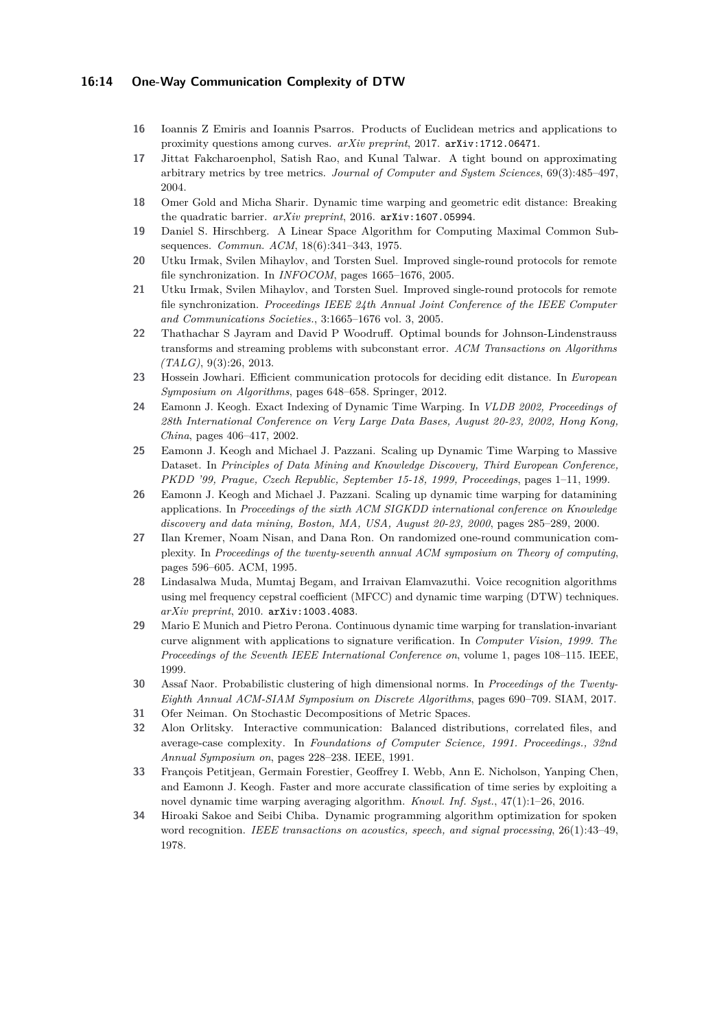#### **16:14 One-Way Communication Complexity of DTW**

- <span id="page-13-9"></span>**16** Ioannis Z Emiris and Ioannis Psarros. Products of Euclidean metrics and applications to proximity questions among curves. *arXiv preprint*, 2017. [arXiv:1712.06471](http://arxiv.org/abs/1712.06471).
- <span id="page-13-13"></span>**17** Jittat Fakcharoenphol, Satish Rao, and Kunal Talwar. A tight bound on approximating arbitrary metrics by tree metrics. *Journal of Computer and System Sciences*, 69(3):485–497, 2004.
- <span id="page-13-8"></span>**18** Omer Gold and Micha Sharir. Dynamic time warping and geometric edit distance: Breaking the quadratic barrier. *arXiv preprint*, 2016. [arXiv:1607.05994](http://arxiv.org/abs/1607.05994).
- <span id="page-13-3"></span>**19** Daniel S. Hirschberg. A Linear Space Algorithm for Computing Maximal Common Subsequences. *Commun. ACM*, 18(6):341–343, 1975.
- <span id="page-13-10"></span>**20** Utku Irmak, Svilen Mihaylov, and Torsten Suel. Improved single-round protocols for remote file synchronization. In *INFOCOM*, pages 1665–1676, 2005.
- <span id="page-13-12"></span>**21** Utku Irmak, Svilen Mihaylov, and Torsten Suel. Improved single-round protocols for remote file synchronization. *Proceedings IEEE 24th Annual Joint Conference of the IEEE Computer and Communications Societies.*, 3:1665–1676 vol. 3, 2005.
- <span id="page-13-16"></span>**22** Thathachar S Jayram and David P Woodruff. Optimal bounds for Johnson-Lindenstrauss transforms and streaming problems with subconstant error. *ACM Transactions on Algorithms (TALG)*, 9(3):26, 2013.
- <span id="page-13-18"></span>**23** Hossein Jowhari. Efficient communication protocols for deciding edit distance. In *European Symposium on Algorithms*, pages 648–658. Springer, 2012.
- <span id="page-13-6"></span>**24** Eamonn J. Keogh. Exact Indexing of Dynamic Time Warping. In *VLDB 2002, Proceedings of 28th International Conference on Very Large Data Bases, August 20-23, 2002, Hong Kong, China*, pages 406–417, 2002.
- <span id="page-13-4"></span>**25** Eamonn J. Keogh and Michael J. Pazzani. Scaling up Dynamic Time Warping to Massive Dataset. In *Principles of Data Mining and Knowledge Discovery, Third European Conference, PKDD '99, Prague, Czech Republic, September 15-18, 1999, Proceedings*, pages 1–11, 1999.
- <span id="page-13-5"></span>**26** Eamonn J. Keogh and Michael J. Pazzani. Scaling up dynamic time warping for datamining applications. In *Proceedings of the sixth ACM SIGKDD international conference on Knowledge discovery and data mining, Boston, MA, USA, August 20-23, 2000*, pages 285–289, 2000.
- <span id="page-13-11"></span>**27** Ilan Kremer, Noam Nisan, and Dana Ron. On randomized one-round communication complexity. In *Proceedings of the twenty-seventh annual ACM symposium on Theory of computing*, pages 596–605. ACM, 1995.
- <span id="page-13-2"></span>**28** Lindasalwa Muda, Mumtaj Begam, and Irraivan Elamvazuthi. Voice recognition algorithms using mel frequency cepstral coefficient (MFCC) and dynamic time warping (DTW) techniques. *arXiv preprint*, 2010. [arXiv:1003.4083](http://arxiv.org/abs/1003.4083).
- <span id="page-13-1"></span>**29** Mario E Munich and Pietro Perona. Continuous dynamic time warping for translation-invariant curve alignment with applications to signature verification. In *Computer Vision, 1999. The Proceedings of the Seventh IEEE International Conference on*, volume 1, pages 108–115. IEEE, 1999.
- <span id="page-13-14"></span>**30** Assaf Naor. Probabilistic clustering of high dimensional norms. In *Proceedings of the Twenty-Eighth Annual ACM-SIAM Symposium on Discrete Algorithms*, pages 690–709. SIAM, 2017.
- <span id="page-13-15"></span>**31** Ofer Neiman. On Stochastic Decompositions of Metric Spaces.
- <span id="page-13-17"></span>**32** Alon Orlitsky. Interactive communication: Balanced distributions, correlated files, and average-case complexity. In *Foundations of Computer Science, 1991. Proceedings., 32nd Annual Symposium on*, pages 228–238. IEEE, 1991.
- <span id="page-13-7"></span>**33** François Petitjean, Germain Forestier, Geoffrey I. Webb, Ann E. Nicholson, Yanping Chen, and Eamonn J. Keogh. Faster and more accurate classification of time series by exploiting a novel dynamic time warping averaging algorithm. *Knowl. Inf. Syst.*, 47(1):1–26, 2016.
- <span id="page-13-0"></span>**34** Hiroaki Sakoe and Seibi Chiba. Dynamic programming algorithm optimization for spoken word recognition. *IEEE transactions on acoustics, speech, and signal processing*, 26(1):43–49, 1978.